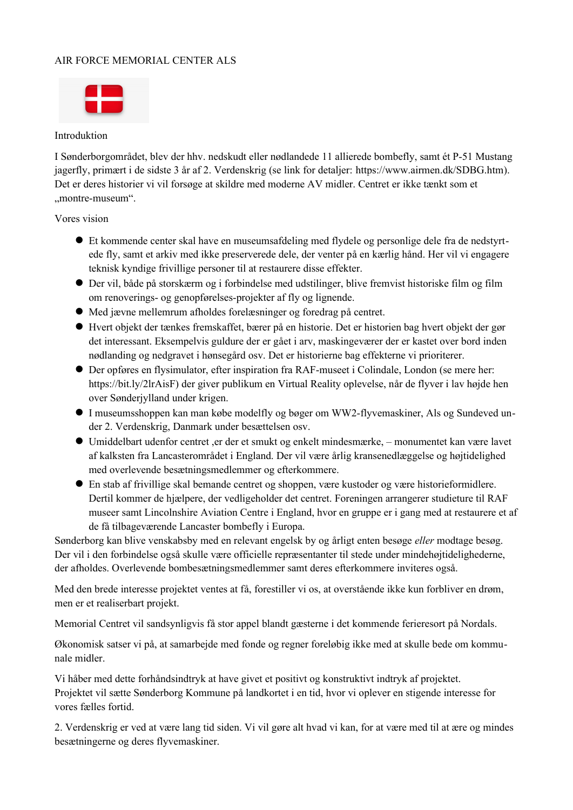# AIR FORCE MEMORIAL CENTER ALS



## Introduktion

I Sønderborgområdet, blev der hhv. nedskudt eller nødlandede 11 allierede bombefly, samt ét P-51 Mustang jagerfly, primært i de sidste 3 år af 2. Verdenskrig (se link for detaljer: <https://www.airmen.dk/SDBG.htm>). Det er deres historier vi vil forsøge at skildre med moderne AV midler. Centret er ikke tænkt som et "montre-museum".

## Vores vision

- Et kommende center skal have en museumsafdeling med flydele og personlige dele fra de nedstyrtede fly, samt et arkiv med ikke preserverede dele, der venter på en kærlig hånd. Her vil vi engagere teknisk kyndige frivillige personer til at restaurere disse effekter.
- Der vil, både på storskærm og i forbindelse med udstilinger, blive fremvist historiske film og film om renoverings- og genopførelses-projekter af fly og lignende.
- Med jævne mellemrum afholdes forelæsninger og foredrag på centret.
- Hvert objekt der tænkes fremskaffet, bærer på en historie. Det er historien bag hvert objekt der gør det interessant. Eksempelvis guldure der er gået i arv, maskingeværer der er kastet over bord inden nødlanding og nedgravet i hønsegård osv. Det er historierne bag effekterne vi prioriterer.
- Der opføres en flysimulator, efter inspiration fra RAF-museet i Colindale, London (se mere her: https://bit.ly/2lrAisF) der giver publikum en Virtual Reality oplevelse, når de flyver i lav højde hen over Sønderjylland under krigen.
- I museumsshoppen kan man købe modelfly og bøger om WW2-flyvemaskiner, Als og Sundeved under 2. Verdenskrig, Danmark under besættelsen osv.
- Umiddelbart udenfor centret ,er der et smukt og enkelt mindesmærke, monumentet kan være lavet af kalksten fra Lancasterområdet i England. Der vil være årlig kransenedlæggelse og højtidelighed med overlevende besætningsmedlemmer og efterkommere.
- En stab af frivillige skal bemande centret og shoppen, være kustoder og være historieformidlere. Dertil kommer de hjælpere, der vedligeholder det centret. Foreningen arrangerer studieture til RAF museer samt Lincolnshire Aviation Centre i England, hvor en gruppe er i gang med at restaurere et af de få tilbageværende Lancaster bombefly i Europa.

Sønderborg kan blive venskabsby med en relevant engelsk by og årligt enten besøge *eller* modtage besøg. Der vil i den forbindelse også skulle være officielle repræsentanter til stede under mindehøjtidelighederne, der afholdes. Overlevende bombesætningsmedlemmer samt deres efterkommere inviteres også.

Med den brede interesse projektet ventes at få, forestiller vi os, at overstående ikke kun forbliver en drøm, men er et realiserbart projekt.

Memorial Centret vil sandsynligvis få stor appel blandt gæsterne i det kommende ferieresort på Nordals.

Økonomisk satser vi på, at samarbejde med fonde og regner foreløbig ikke med at skulle bede om kommunale midler.

Vi håber med dette forhåndsindtryk at have givet et positivt og konstruktivt indtryk af projektet. Projektet vil sætte Sønderborg Kommune på landkortet i en tid, hvor vi oplever en stigende interesse for vores fælles fortid.

2. Verdenskrig er ved at være lang tid siden. Vi vil gøre alt hvad vi kan, for at være med til at ære og mindes besætningerne og deres flyvemaskiner.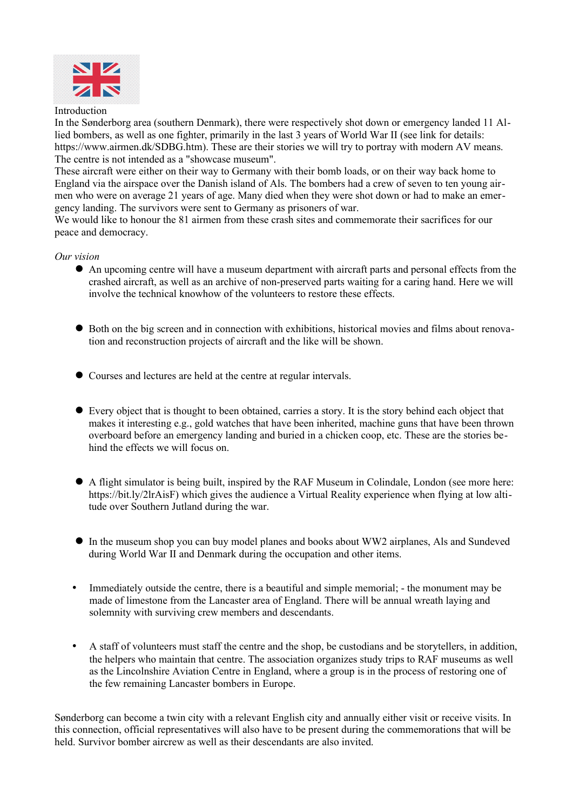

#### Introduction

In the Sønderborg area (southern Denmark), there were respectively shot down or emergency landed 11 Allied bombers, as well as one fighter, primarily in the last 3 years of World War II (see link for details: https://www.airmen.dk/SDBG.htm). These are their stories we will try to portray with modern AV means. The centre is not intended as a "showcase museum".

These aircraft were either on their way to Germany with their bomb loads, or on their way back home to England via the airspace over the Danish island of Als. The bombers had a crew of seven to ten young airmen who were on average 21 years of age. Many died when they were shot down or had to make an emergency landing. The survivors were sent to Germany as prisoners of war.

We would like to honour the 81 airmen from these crash sites and commemorate their sacrifices for our peace and democracy.

#### *Our vision*

- An upcoming centre will have a museum department with aircraft parts and personal effects from the crashed aircraft, as well as an archive of non-preserved parts waiting for a caring hand. Here we will involve the technical knowhow of the volunteers to restore these effects.
- Both on the big screen and in connection with exhibitions, historical movies and films about renovation and reconstruction projects of aircraft and the like will be shown.
- Courses and lectures are held at the centre at regular intervals.
- Every object that is thought to been obtained, carries a story. It is the story behind each object that makes it interesting e.g., gold watches that have been inherited, machine guns that have been thrown overboard before an emergency landing and buried in a chicken coop, etc. These are the stories behind the effects we will focus on.
- A flight simulator is being built, inspired by the RAF Museum in Colindale, London (see more here: https://bit.ly/2lrAisF) which gives the audience a Virtual Reality experience when flying at low altitude over Southern Jutland during the war.
- In the museum shop you can buy model planes and books about WW2 airplanes, Als and Sundeved during World War II and Denmark during the occupation and other items.
- Immediately outside the centre, there is a beautiful and simple memorial; the monument may be made of limestone from the Lancaster area of England. There will be annual wreath laying and solemnity with surviving crew members and descendants.
- A staff of volunteers must staff the centre and the shop, be custodians and be storytellers, in addition, the helpers who maintain that centre. The association organizes study trips to RAF museums as well as the Lincolnshire Aviation Centre in England, where a group is in the process of restoring one of the few remaining Lancaster bombers in Europe.

Sønderborg can become a twin city with a relevant English city and annually either visit or receive visits. In this connection, official representatives will also have to be present during the commemorations that will be held. Survivor bomber aircrew as well as their descendants are also invited.